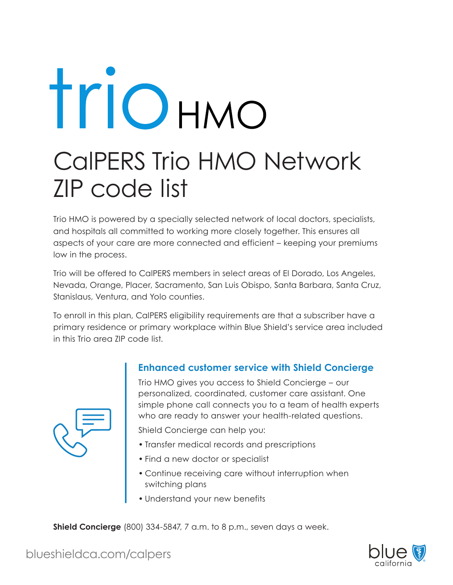## Triohmo CalPERS Trio HMO Network ZIP code list

Trio HMO is powered by a specially selected network of local doctors, specialists, and hospitals all committed to working more closely together. This ensures all aspects of your care are more connected and efficient – keeping your premiums low in the process.

Trio will be offered to CalPERS members in select areas of El Dorado, Los Angeles, Nevada, Orange, Placer, Sacramento, San Luis Obispo, Santa Barbara, Santa Cruz, Stanislaus, Ventura, and Yolo counties.

To enroll in this plan, CalPERS eligibility requirements are that a subscriber have a primary residence or primary workplace within Blue Shield's service area included in this Trio area ZIP code list.



## **Enhanced customer service with Shield Concierge**

Trio HMO gives you access to Shield Concierge – our personalized, coordinated, customer care assistant. One simple phone call connects you to a team of health experts who are ready to answer your health-related questions.

Shield Concierge can help you:

- Transfer medical records and prescriptions
- Find a new doctor or specialist
- Continue receiving care without interruption when switching plans
- Understand your new benefits

**Shield Concierge** (800) 334-5847, 7 a.m. to 8 p.m., seven days a week.



blueshieldca.com/calpers